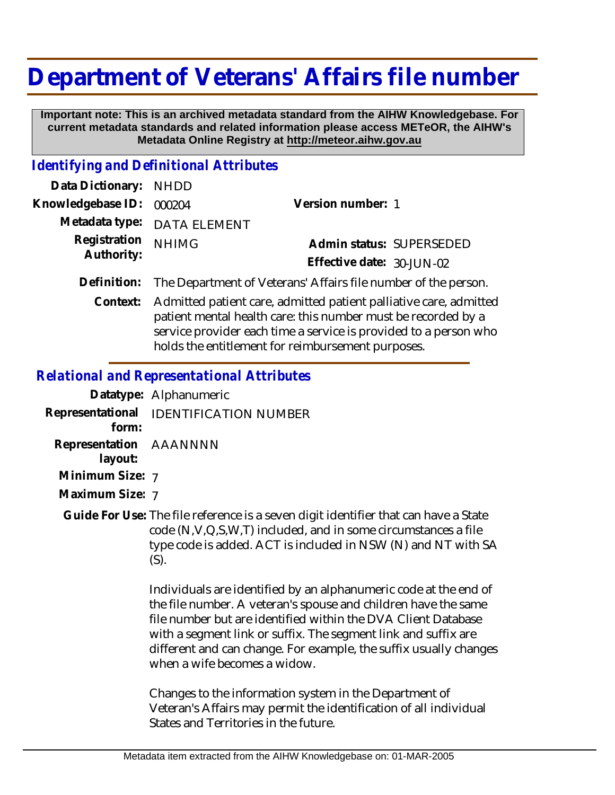## **Department of Veterans' Affairs file number**

 **Important note: This is an archived metadata standard from the AIHW Knowledgebase. For current metadata standards and related information please access METeOR, the AIHW's Metadata Online Registry at http://meteor.aihw.gov.au**

## *Identifying and Definitional Attributes*

| Data Dictionary: NHDD      |                                                                            |                           |                          |
|----------------------------|----------------------------------------------------------------------------|---------------------------|--------------------------|
| Knowledgebase ID: 000204   |                                                                            | Version number: 1         |                          |
|                            | Metadata type: DATA ELEMENT                                                |                           |                          |
| Registration<br>Authority: | <b>NHIMG</b>                                                               |                           | Admin status: SUPERSEDED |
|                            |                                                                            | Effective date: 30-JUN-02 |                          |
|                            | Definition: The Department of Veterans' Affairs file number of the person. |                           |                          |
| $C$ ontovt $\cdot$         | Admitted patient eare admitted patient pelliotive eare admitte             |                           |                          |

Admitted patient care, admitted patient palliative care, admitted **Context:** patient mental health care: this number must be recorded by a service provider each time a service is provided to a person who holds the entitlement for reimbursement purposes.

## *Relational and Representational Attributes*

|                        | Datatype: Alphanumeric                 |
|------------------------|----------------------------------------|
| form:                  | Representational IDENTIFICATION NUMBER |
| Representation AAANNNN |                                        |

- **layout:**
- **Minimum Size:** 7
- **Maximum Size:** 7
- Guide For Use: The file reference is a seven digit identifier that can have a State code (N,V,Q,S,W,T) included, and in some circumstances a file type code is added. ACT is included in NSW (N) and NT with SA (S).

Individuals are identified by an alphanumeric code at the end of the file number. A veteran's spouse and children have the same file number but are identified within the DVA Client Database with a segment link or suffix. The segment link and suffix are different and can change. For example, the suffix usually changes when a wife becomes a widow.

Changes to the information system in the Department of Veteran's Affairs may permit the identification of all individual States and Territories in the future.